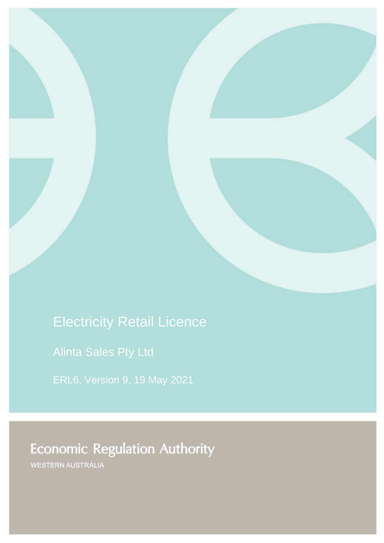# Electricity Retail Licence

Alinta Sales Pty Ltd

ERL6, Version 9, 19 May 2021

# **Economic Regulation Authority**

WESTERN AUSTRALIA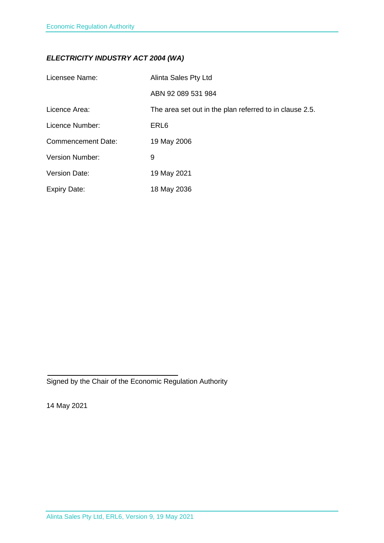## *ELECTRICITY INDUSTRY ACT 2004 (WA)*

| Licensee Name:            | Alinta Sales Pty Ltd                                    |
|---------------------------|---------------------------------------------------------|
|                           | ABN 92 089 531 984                                      |
| Licence Area:             | The area set out in the plan referred to in clause 2.5. |
| Licence Number:           | ERL <sub>6</sub>                                        |
| <b>Commencement Date:</b> | 19 May 2006                                             |
| <b>Version Number:</b>    | 9                                                       |
| <b>Version Date:</b>      | 19 May 2021                                             |
| <b>Expiry Date:</b>       | 18 May 2036                                             |

Signed by the Chair of the Economic Regulation Authority

14 May 2021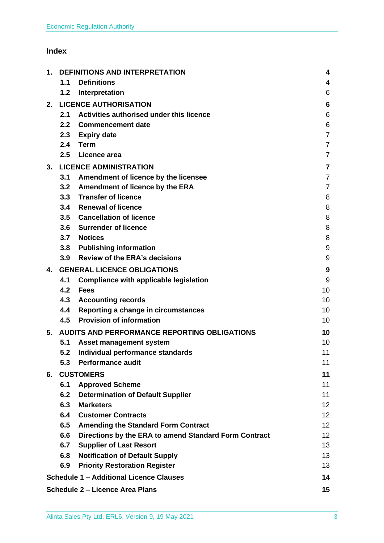## **Index**

| 1. | <b>DEFINITIONS AND INTERPRETATION</b> |                                                       | 4                       |
|----|---------------------------------------|-------------------------------------------------------|-------------------------|
|    | 1.1                                   | <b>Definitions</b>                                    | 4                       |
|    | 1.2                                   | Interpretation                                        | 6                       |
| 2. |                                       | <b>LICENCE AUTHORISATION</b>                          | 6                       |
|    | 2.1                                   | Activities authorised under this licence              | 6                       |
|    | 2.2 <sub>2</sub>                      | <b>Commencement date</b>                              | 6                       |
|    | 2.3                                   | <b>Expiry date</b>                                    | $\overline{7}$          |
|    | 2.4                                   | <b>Term</b>                                           | $\overline{7}$          |
|    | 2.5                                   | Licence area                                          | $\overline{7}$          |
| 3. |                                       | <b>LICENCE ADMINISTRATION</b>                         | $\overline{\mathbf{7}}$ |
|    | 3.1                                   | Amendment of licence by the licensee                  | $\overline{7}$          |
|    | 3.2                                   | <b>Amendment of licence by the ERA</b>                | $\overline{7}$          |
|    |                                       | 3.3 Transfer of licence                               | 8                       |
|    | 3.4                                   | <b>Renewal of licence</b>                             | 8                       |
|    |                                       | 3.5 Cancellation of licence                           | 8                       |
|    | 3.6                                   | <b>Surrender of licence</b>                           | 8                       |
|    | 3.7                                   | <b>Notices</b>                                        | 8                       |
|    | 3.8                                   | <b>Publishing information</b>                         | 9                       |
|    | 3.9                                   | <b>Review of the ERA's decisions</b>                  | 9                       |
| 4. |                                       | <b>GENERAL LICENCE OBLIGATIONS</b>                    | 9                       |
|    | 4.1                                   | <b>Compliance with applicable legislation</b>         | 9                       |
|    | 4.2                                   | <b>Fees</b>                                           | 10                      |
|    | 4.3                                   | <b>Accounting records</b>                             | 10                      |
|    | 4.4                                   | Reporting a change in circumstances                   | 10                      |
|    | 4.5                                   | <b>Provision of information</b>                       | 10                      |
| 5. |                                       | <b>AUDITS AND PERFORMANCE REPORTING OBLIGATIONS</b>   | 10                      |
|    | 5.1                                   | Asset management system                               | 10                      |
|    | 5.2                                   | Individual performance standards                      | 11                      |
|    | 5.3                                   | <b>Performance audit</b>                              | 11                      |
| 6. | <b>CUSTOMERS</b>                      |                                                       | 11                      |
|    | 6.1                                   | <b>Approved Scheme</b>                                | 11                      |
|    | 6.2                                   | <b>Determination of Default Supplier</b>              | 11                      |
|    | 6.3                                   | <b>Marketers</b>                                      | 12 <sup>2</sup>         |
|    | 6.4                                   | <b>Customer Contracts</b>                             | 12 <sub>2</sub>         |
|    | 6.5                                   | <b>Amending the Standard Form Contract</b>            | 12 <sub>2</sub>         |
|    | 6.6                                   | Directions by the ERA to amend Standard Form Contract | 12 <sub>2</sub>         |
|    | 6.7                                   | <b>Supplier of Last Resort</b>                        | 13                      |
|    | 6.8                                   | <b>Notification of Default Supply</b>                 | 13                      |
|    | 6.9                                   | <b>Priority Restoration Register</b>                  | 13                      |
|    |                                       | <b>Schedule 1 - Additional Licence Clauses</b>        | 14                      |
|    |                                       | <b>Schedule 2 - Licence Area Plans</b>                | 15                      |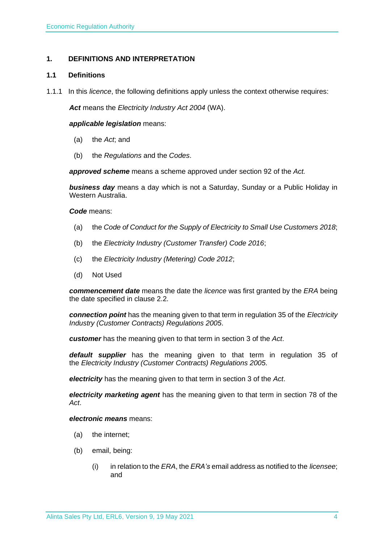## <span id="page-3-0"></span>**1. DEFINITIONS AND INTERPRETATION**

## <span id="page-3-1"></span>**1.1 Definitions**

1.1.1 In this *licence*, the following definitions apply unless the context otherwise requires:

*Act* means the *Electricity Industry Act 2004* (WA).

#### *applicable legislation* means:

- (a) the *Act*; and
- (b) the *Regulations* and the *Codes*.

*approved scheme* means a scheme approved under section 92 of the *Act.* 

*business day* means a day which is not a Saturday, Sunday or a Public Holiday in Western Australia.

*Code* means:

- (a) the *Code of Conduct for the Supply of Electricity to Small Use Customers 2018*;
- (b) the *Electricity Industry (Customer Transfer) Code 2016*;
- (c) the *Electricity Industry (Metering) Code 2012*;
- (d) Not Used

*commencement date* means the date the *licence* was first granted by the *ERA* being the date specified in clause 2.2.

*connection point* has the meaning given to that term in regulation 35 of the *[Electricity](http://www.slp.wa.gov.au/legislation/statutes.nsf/main_mrtitle_1345_homepage.html)  [Industry \(Customer Contracts\) Regulations 2005](http://www.slp.wa.gov.au/legislation/statutes.nsf/main_mrtitle_1345_homepage.html)*.

*customer* has the meaning given to that term in section 3 of the *Act*.

*default supplier* has the meaning given to that term in regulation 35 of the *Electricity [Industry \(Customer Contracts\) Regulations 2005.](http://www.slp.wa.gov.au/legislation/statutes.nsf/main_mrtitle_1345_homepage.html)*

*electricity* has the meaning given to that term in section 3 of the *Act*.

*electricity marketing agent* has the meaning given to that term in section 78 of the *Act*.

#### *electronic means* means:

- (a) the internet;
- (b) email, being:
	- (i) in relation to the *ERA*, the *ERA's* email address as notified to the *licensee*; and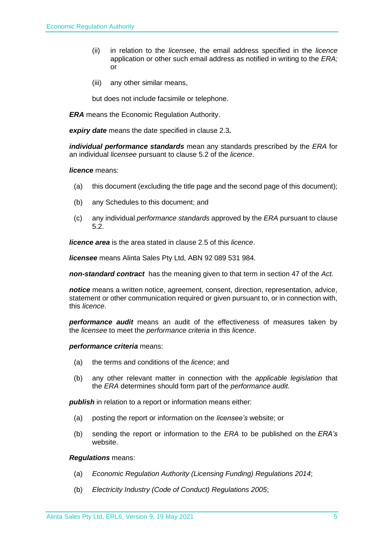- (ii) in relation to the *licensee*, the email address specified in the *licence* application or other such email address as notified in writing to the *ERA;* or
- (iii) any other similar means,

but does not include facsimile or telephone.

*ERA* means the Economic Regulation Authority.

*expiry date* means the date specified in clause 2.3*.*

*individual performance standards* mean any standards prescribed by the *ERA* for an individual *licensee* pursuant to clause 5.2 of the *licence*.

#### *licence* means:

- (a) this document (excluding the title page and the second page of this document);
- (b) any Schedules to this document; and
- (c) any individual *performance standards* approved by the *ERA* pursuant to clause 5.2.

*licence area* is the area stated in clause 2.5 of this *licence*.

*licensee* means Alinta Sales Pty Ltd, ABN 92 089 531 984.

*non-standard contract* has the meaning given to that term in section 47 of the *Act.* 

*notice* means a written notice, agreement, consent, direction, representation, advice, statement or other communication required or given pursuant to, or in connection with, this *licence*.

*performance audit* means an audit of the effectiveness of measures taken by the *licensee* to meet the *performance criteria* in this *licence*.

#### *performance criteria* means:

- (a) the terms and conditions of the *licence*; and
- (b) any other relevant matter in connection with the *applicable legislation* that the *ERA* determines should form part of the *performance audit*.

**publish** in relation to a report or information means either:

- (a) posting the report or information on the *licensee's* website; or
- (b) sending the report or information to the *ERA* to be published on the *ERA's* website.

#### *Regulations* means:

- (a) *Economic Regulation Authority (Licensing Funding) Regulations 2014*;
- (b) *Electricity Industry (Code of Conduct) Regulations 2005*;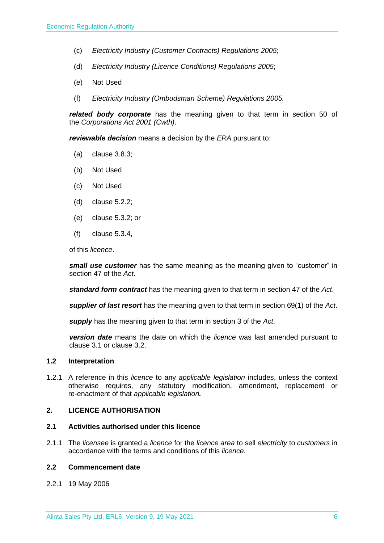- (c) *Electricity Industry (Customer Contracts) Regulations 2005*;
- (d) *Electricity Industry (Licence Conditions) Regulations 2005*;
- (e) Not Used
- (f) *Electricity Industry (Ombudsman Scheme) Regulations 2005.*

*related body corporate* has the meaning given to that term in section 50 of the *Corporations Act 2001 (Cwth)*.

*reviewable decision* means a decision by the *ERA* pursuant to:

- (a) clause 3.8.3;
- (b) Not Used
- (c) Not Used
- (d) clause 5.2.2;
- (e) clause 5.3.2; or
- (f) clause 5.3.4,

of this *licence*.

*small use customer* has the same meaning as the meaning given to "customer" in section 47 of the *Act*.

*standard form contract* has the meaning given to that term in section 47 of the *Act*.

*supplier of last resort* has the meaning given to that term in section 69(1) of the *Act*.

*supply* has the meaning given to that term in section 3 of the *Act*.

*version date* means the date on which the *licence* was last amended pursuant to clause 3.1 or clause 3.2.

#### <span id="page-5-0"></span>**1.2 Interpretation**

1.2.1 A reference in this *licence* to any *applicable legislation* includes, unless the context otherwise requires, any statutory modification, amendment, replacement or re-enactment of that *applicable legislation.*

## <span id="page-5-1"></span>**2. LICENCE AUTHORISATION**

#### <span id="page-5-2"></span>**2.1 Activities authorised under this licence**

2.1.1 The *licensee* is granted a *licence* for the *licence area* to sell *electricity* to *customers* in accordance with the terms and conditions of this *licence.*

#### <span id="page-5-3"></span>**2.2 Commencement date**

2.2.1 19 May 2006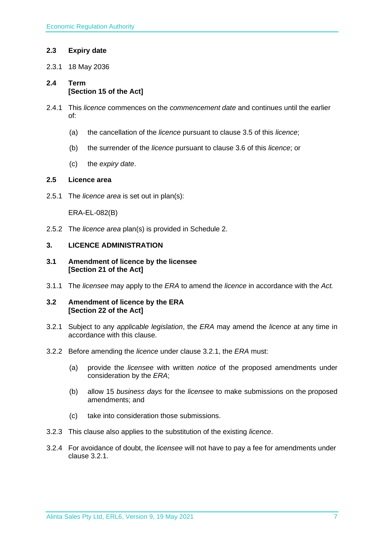## <span id="page-6-0"></span>**2.3 Expiry date**

2.3.1 18 May 2036

## <span id="page-6-1"></span>**2.4 Term [Section 15 of the Act]**

- 2.4.1 This *licence* commences on the *commencement date* and continues until the earlier of:
	- (a) the cancellation of the *licence* pursuant to clause 3.5 of this *licence*;
	- (b) the surrender of the *licence* pursuant to clause 3.6 of this *licence*; or
	- (c) the *expiry date*.

## <span id="page-6-2"></span>**2.5 Licence area**

2.5.1 The *licence area* is set out in plan(s):

ERA-EL-082(B)

2.5.2 The *licence area* plan(s) is provided in Schedule 2.

## <span id="page-6-3"></span>**3. LICENCE ADMINISTRATION**

#### <span id="page-6-4"></span>**3.1 Amendment of licence by the licensee [Section 21 of the Act]**

3.1.1 The *licensee* may apply to the *ERA* to amend the *licence* in accordance with the *Act.*

## <span id="page-6-5"></span>**3.2 Amendment of licence by the ERA [Section 22 of the Act]**

- 3.2.1 Subject to any *applicable legislation*, the *ERA* may amend the *licence* at any time in accordance with this clause.
- 3.2.2 Before amending the *licence* under clause 3.2.1, the *ERA* must:
	- (a) provide the *licensee* with written *notice* of the proposed amendments under consideration by the *ERA*;
	- (b) allow 15 *business days* for the *licensee* to make submissions on the proposed amendments; and
	- (c) take into consideration those submissions.
- 3.2.3 This clause also applies to the substitution of the existing *licence*.
- 3.2.4 For avoidance of doubt, the *licensee* will not have to pay a fee for amendments under clause 3.2.1.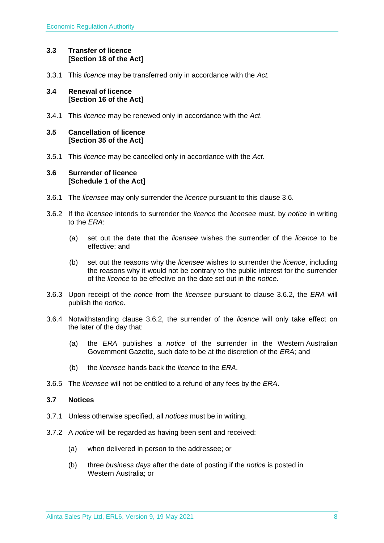## <span id="page-7-0"></span>**3.3 Transfer of licence [Section 18 of the Act]**

3.3.1 This *licence* may be transferred only in accordance with the *Act.*

## <span id="page-7-1"></span>**3.4 Renewal of licence [Section 16 of the Act]**

3.4.1 This *licence* may be renewed only in accordance with the *Act*.

## <span id="page-7-2"></span>**3.5 Cancellation of licence [Section 35 of the Act]**

3.5.1 This *licence* may be cancelled only in accordance with the *Act*.

## <span id="page-7-3"></span>**3.6 Surrender of licence [Schedule 1 of the Act]**

- 3.6.1 The *licensee* may only surrender the *licence* pursuant to this clause 3.6.
- 3.6.2 If the *licensee* intends to surrender the *licence* the *licensee* must, by *notice* in writing to the *ERA*:
	- (a) set out the date that the *licensee* wishes the surrender of the *licence* to be effective; and
	- (b) set out the reasons why the *licensee* wishes to surrender the *licence*, including the reasons why it would not be contrary to the public interest for the surrender of the *licence* to be effective on the date set out in the *notice*.
- 3.6.3 Upon receipt of the *notice* from the *licensee* pursuant to clause 3.6.2, the *ERA* will publish the *notice*.
- 3.6.4 Notwithstanding clause 3.6.2, the surrender of the *licence* will only take effect on the later of the day that:
	- (a) the *ERA* publishes a *notice* of the surrender in the Western Australian Government Gazette, such date to be at the discretion of the *ERA*; and
	- (b) the *licensee* hands back the *licence* to the *ERA*.
- 3.6.5 The *licensee* will not be entitled to a refund of any fees by the *ERA*.

## <span id="page-7-4"></span>**3.7 Notices**

- 3.7.1 Unless otherwise specified, all *notices* must be in writing.
- 3.7.2 A *notice* will be regarded as having been sent and received:
	- (a) when delivered in person to the addressee; or
	- (b) three *business days* after the date of posting if the *notice* is posted in Western Australia; or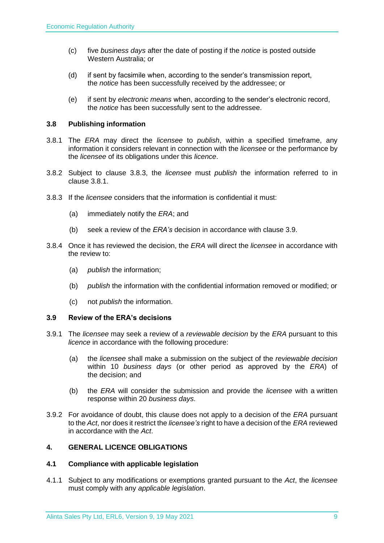- (c) five *business days* after the date of posting if the *notice* is posted outside Western Australia; or
- (d) if sent by facsimile when, according to the sender's transmission report, the *notice* has been successfully received by the addressee; or
- (e) if sent by *electronic means* when, according to the sender's electronic record, the *notice* has been successfully sent to the addressee.

## <span id="page-8-0"></span>**3.8 Publishing information**

- 3.8.1 The *ERA* may direct the *licensee* to *publish*, within a specified timeframe, any information it considers relevant in connection with the *licensee* or the performance by the *licensee* of its obligations under this *licence*.
- 3.8.2 Subject to clause 3.8.3, the *licensee* must *publish* the information referred to in clause 3.8.1.
- 3.8.3 If the *licensee* considers that the information is confidential it must:
	- (a) immediately notify the *ERA*; and
	- (b) seek a review of the *ERA's* decision in accordance with clause 3.9.
- 3.8.4 Once it has reviewed the decision, the *ERA* will direct the *licensee* in accordance with the review to:
	- (a) *publish* the information;
	- (b) *publish* the information with the confidential information removed or modified; or
	- (c) not *publish* the information.

## <span id="page-8-1"></span>**3.9 Review of the ERA's decisions**

- 3.9.1 The *licensee* may seek a review of a *reviewable decision* by the *ERA* pursuant to this *licence* in accordance with the following procedure:
	- (a) the *licensee* shall make a submission on the subject of the *reviewable decision* within 10 *business days* (or other period as approved by the *ERA*) of the decision; and
	- (b) the *ERA* will consider the submission and provide the *licensee* with a written response within 20 *business days*.
- 3.9.2 For avoidance of doubt, this clause does not apply to a decision of the *ERA* pursuant to the *Act*, nor does it restrict the *licensee's* right to have a decision of the *ERA* reviewed in accordance with the *Act*.

## <span id="page-8-2"></span>**4. GENERAL LICENCE OBLIGATIONS**

#### <span id="page-8-3"></span>**4.1 Compliance with applicable legislation**

4.1.1 Subject to any modifications or exemptions granted pursuant to the *Act*, the *licensee* must comply with any *applicable legislation*.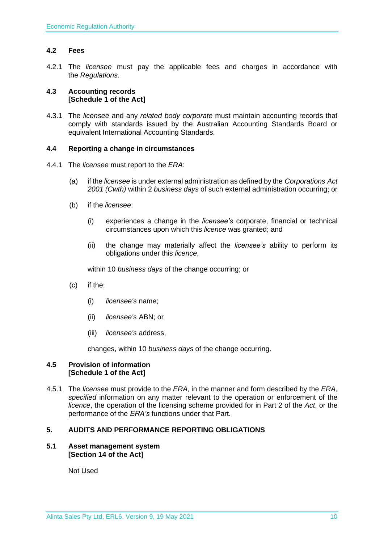## <span id="page-9-0"></span>**4.2 Fees**

4.2.1 The *licensee* must pay the applicable fees and charges in accordance with the *Regulations*.

## <span id="page-9-1"></span>**4.3 Accounting records [Schedule 1 of the Act]**

4.3.1 The *licensee* and any *related body corporate* must maintain accounting records that comply with standards issued by the Australian Accounting Standards Board or equivalent International Accounting Standards.

## <span id="page-9-2"></span>**4.4 Reporting a change in circumstances**

- 4.4.1 The *licensee* must report to the *ERA*:
	- (a) if the *licensee* is under external administration as defined by the *Corporations Act 2001 (Cwth)* within 2 *business days* of such external administration occurring; or
	- (b) if the *licensee*:
		- (i) experiences a change in the *licensee's* corporate, financial or technical circumstances upon which this *licence* was granted; and
		- (ii) the change may materially affect the *licensee's* ability to perform its obligations under this *licence*,

within 10 *business days* of the change occurring; or

- (c) if the:
	- (i) *licensee's* name;
	- (ii) *licensee's* ABN; or
	- (iii) *licensee's* address,

changes, within 10 *business days* of the change occurring.

## <span id="page-9-3"></span>**4.5 Provision of information [Schedule 1 of the Act]**

4.5.1 The *licensee* must provide to the *ERA,* in the manner and form described by the *ERA, specified* information on any matter relevant to the operation or enforcement of the *licence*, the operation of the licensing scheme provided for in Part 2 of the *Act*, or the performance of the *ERA's* functions under that Part.

## <span id="page-9-4"></span>**5. AUDITS AND PERFORMANCE REPORTING OBLIGATIONS**

## <span id="page-9-5"></span>**5.1 Asset management system [Section 14 of the Act]**

Not Used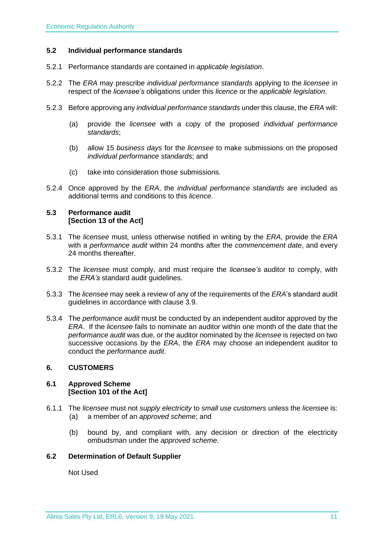#### <span id="page-10-0"></span>**5.2 Individual performance standards**

- 5.2.1 Performance standards are contained in *applicable legislation*.
- 5.2.2 The *ERA* may prescribe *individual performance standards* applying to the *licensee* in respect of the *licensee's* obligations under this *licence* or the *applicable legislation*.
- 5.2.3 Before approving any *individual performance standards* under this clause, the *ERA* will:
	- (a) provide the *licensee* with a copy of the proposed *individual performance standards*;
	- (b) allow 15 *business days* for the *licensee* to make submissions on the proposed *individual performance standards*; and
	- (c) take into consideration those submissions.
- 5.2.4 Once approved by the *ERA*, the *individual performance standards* are included as additional terms and conditions to this *licence*.

### <span id="page-10-1"></span>**5.3 Performance audit [Section 13 of the Act]**

- 5.3.1 The *licensee* must, unless otherwise notified in writing by the *ERA*, provide the *ERA* with a *performance audit* within 24 months after the *commencement date*, and every 24 months thereafter.
- 5.3.2 The *licensee* must comply, and must require the *licensee's* auditor to comply, with the *ERA's* standard audit guidelines.
- 5.3.3 The *licensee* may seek a review of any of the requirements of the *ERA*'s standard audit guidelines in accordance with clause 3.9.
- 5.3.4 The *performance audit* must be conducted by an independent auditor approved by the *ERA*. If the *licensee* fails to nominate an auditor within one month of the date that the *performance audit* was due, or the auditor nominated by the *licensee* is rejected on two successive occasions by the *ERA*, the *ERA* may choose an independent auditor to conduct the *performance audit*.

## <span id="page-10-2"></span>**6. CUSTOMERS**

#### <span id="page-10-3"></span>**6.1 Approved Scheme [Section 101 of the Act]**

- 6.1.1 The *licensee* must not *supply electricity* to *small use customers* unless the *licensee* is: (a) a member of an *approved scheme*; and
	- (b) bound by, and compliant with, any decision or direction of the electricity ombudsman under the *approved scheme*.

## <span id="page-10-4"></span>**6.2 Determination of Default Supplier**

Not Used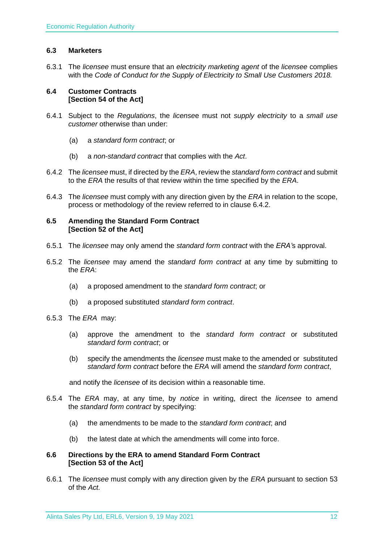## <span id="page-11-0"></span>**6.3 Marketers**

6.3.1 The *licensee* must ensure that an *electricity marketing agent* of the *licensee* complies with the *Code of Conduct for the Supply of Electricity to Small Use Customers 2018.*

#### <span id="page-11-1"></span>**6.4 Customer Contracts [Section 54 of the Act]**

- 6.4.1 Subject to the *Regulations*, the *license*e must not *supply electricity* to a *small use customer* otherwise than under:
	- (a) a *standard form contract*; or
	- (b) a *non-standard contract* that complies with the *Act*.
- 6.4.2 The *licensee* must, if directed by the *ERA*, review the *standard form contract* and submit to the *ERA* the results of that review within the time specified by the *ERA*.
- 6.4.3 The *licensee* must comply with any direction given by the *ERA* in relation to the scope, process or methodology of the review referred to in clause 6.4.2.

#### <span id="page-11-2"></span>**6.5 Amending the Standard Form Contract [Section 52 of the Act]**

- 6.5.1 The *licensee* may only amend the *standard form contract* with the *ERA'*s approval.
- 6.5.2 The *licensee* may amend the *standard form contract* at any time by submitting to the *ERA*:
	- (a) a proposed amendment to the *standard form contract*; or
	- (b) a proposed substituted *standard form contract*.
- 6.5.3 The *ERA* may:
	- (a) approve the amendment to the *standard form contract* or substituted *standard form contract*; or
	- (b) specify the amendments the *licensee* must make to the amended or substituted *standard form contract* before the *ERA* will amend the *standard form contract*,

and notify the *licensee* of its decision within a reasonable time.

- 6.5.4 The *ERA* may, at any time, by *notice* in writing, direct the *licensee* to amend the *standard form contract* by specifying:
	- (a) the amendments to be made to the *standard form contract*; and
	- (b) the latest date at which the amendments will come into force.

## <span id="page-11-3"></span>**6.6 Directions by the ERA to amend Standard Form Contract [Section 53 of the Act]**

6.6.1 The *licensee* must comply with any direction given by the *ERA* pursuant to section 53 of the *Act.*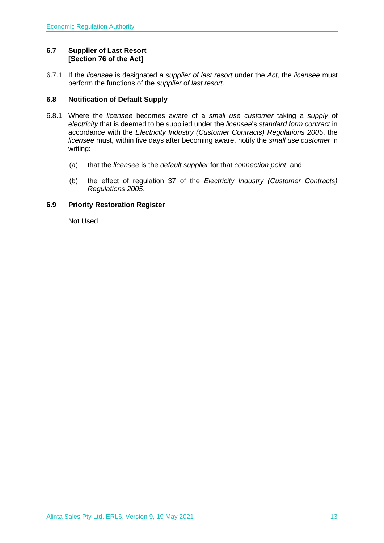## <span id="page-12-0"></span>**6.7 Supplier of Last Resort [Section 76 of the Act]**

6.7.1 If the *licensee* is designated a *supplier of last resort* under the *Act,* the *licensee* must perform the functions of the *supplier of last resort.* 

## <span id="page-12-1"></span>**6.8 Notification of Default Supply**

- 6.8.1 Where the *licensee* becomes aware of a *small use customer* taking a *supply* of *electricity* that is deemed to be supplied under the *licensee*'s *standard form contract* in accordance with the *[Electricity Industry \(Customer Contracts\) Regulations 2005](http://www.slp.wa.gov.au/legislation/statutes.nsf/main_mrtitle_1345_homepage.html)*, the *licensee* must, within five days after becoming aware, notify the *small use customer* in writing:
	- (a) that the *licensee* is the *default supplier* for that *connection point*; and
	- (b) the effect of regulation 37 of the *[Electricity Industry \(Customer Contracts\)](http://www.slp.wa.gov.au/legislation/statutes.nsf/main_mrtitle_1345_homepage.html)  [Regulations 2005](http://www.slp.wa.gov.au/legislation/statutes.nsf/main_mrtitle_1345_homepage.html)*.

## <span id="page-12-2"></span>**6.9 Priority Restoration Register**

Not Used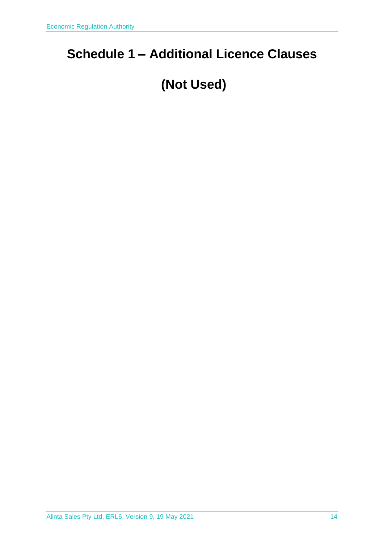## <span id="page-13-0"></span>**Schedule 1 – Additional Licence Clauses**

## **(Not Used)**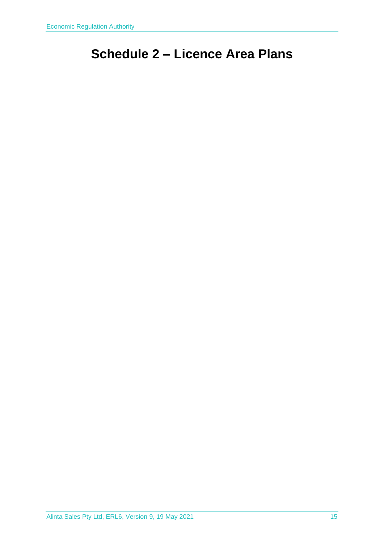## <span id="page-14-0"></span>**Schedule 2 – Licence Area Plans**